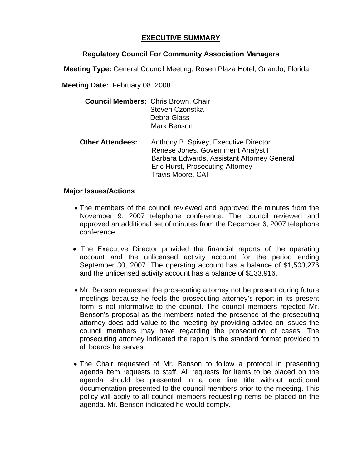## **EXECUTIVE SUMMARY**

## **Regulatory Council For Community Association Managers**

**Meeting Type:** General Council Meeting, Rosen Plaza Hotel, Orlando, Florida

**Meeting Date:** February 08, 2008

| <b>Council Members: Chris Brown, Chair</b> | Steven Czonstka<br>Debra Glass<br>Mark Benson                                                                                                                                                     |
|--------------------------------------------|---------------------------------------------------------------------------------------------------------------------------------------------------------------------------------------------------|
| <b>Other Attendees:</b>                    | Anthony B. Spivey, Executive Director<br>Renese Jones, Government Analyst I<br>Barbara Edwards, Assistant Attorney General<br><b>Eric Hurst, Prosecuting Attorney</b><br><b>Travis Moore, CAI</b> |

## **Major Issues/Actions**

- The members of the council reviewed and approved the minutes from the November 9, 2007 telephone conference. The council reviewed and approved an additional set of minutes from the December 6, 2007 telephone conference.
- The Executive Director provided the financial reports of the operating account and the unlicensed activity account for the period ending September 30, 2007. The operating account has a balance of \$1,503,276 and the unlicensed activity account has a balance of \$133,916.
- Mr. Benson requested the prosecuting attorney not be present during future meetings because he feels the prosecuting attorney's report in its present form is not informative to the council. The council members rejected Mr. Benson's proposal as the members noted the presence of the prosecuting attorney does add value to the meeting by providing advice on issues the council members may have regarding the prosecution of cases. The prosecuting attorney indicated the report is the standard format provided to all boards he serves.
- The Chair requested of Mr. Benson to follow a protocol in presenting agenda item requests to staff. All requests for items to be placed on the agenda should be presented in a one line title without additional documentation presented to the council members prior to the meeting. This policy will apply to all council members requesting items be placed on the agenda. Mr. Benson indicated he would comply.